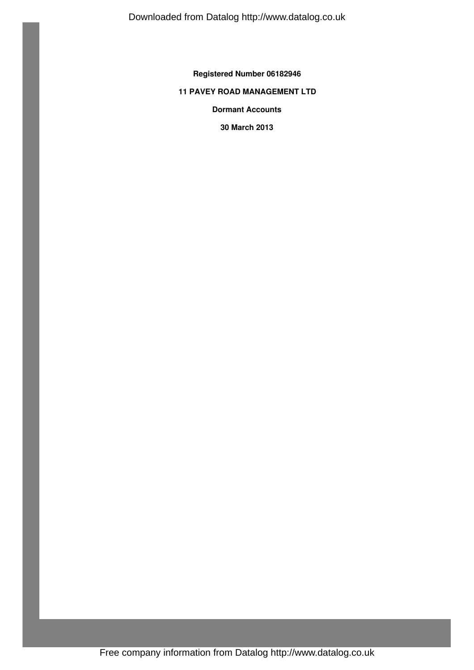**Registered Number 06182946**

## **11 PAVEY ROAD MANAGEMENT LTD**

**Dormant Accounts**

**30 March 2013**

Free company information from Datalog http://www.datalog.co.uk